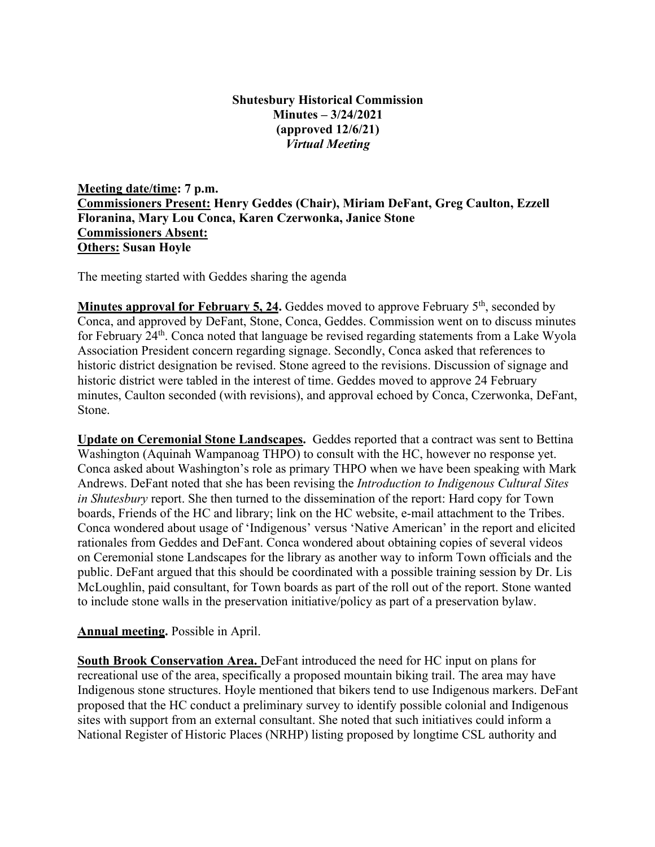## **Shutesbury Historical Commission Minutes – 3/24/2021 (approved 12/6/21)** *Virtual Meeting*

**Meeting date/time: 7 p.m. Commissioners Present: Henry Geddes (Chair), Miriam DeFant, Greg Caulton, Ezzell Floranina, Mary Lou Conca, Karen Czerwonka, Janice Stone Commissioners Absent: Others: Susan Hoyle**

The meeting started with Geddes sharing the agenda

**Minutes approval for February 5, 24.** Geddes moved to approve February 5<sup>th</sup>, seconded by Conca, and approved by DeFant, Stone, Conca, Geddes. Commission went on to discuss minutes for February 24<sup>th</sup>. Conca noted that language be revised regarding statements from a Lake Wyola Association President concern regarding signage. Secondly, Conca asked that references to historic district designation be revised. Stone agreed to the revisions. Discussion of signage and historic district were tabled in the interest of time. Geddes moved to approve 24 February minutes, Caulton seconded (with revisions), and approval echoed by Conca, Czerwonka, DeFant, Stone.

**Update on Ceremonial Stone Landscapes.** Geddes reported that a contract was sent to Bettina Washington (Aquinah Wampanoag THPO) to consult with the HC, however no response yet. Conca asked about Washington's role as primary THPO when we have been speaking with Mark Andrews. DeFant noted that she has been revising the *Introduction to Indigenous Cultural Sites in Shutesbury* report. She then turned to the dissemination of the report: Hard copy for Town boards, Friends of the HC and library; link on the HC website, e-mail attachment to the Tribes. Conca wondered about usage of 'Indigenous' versus 'Native American' in the report and elicited rationales from Geddes and DeFant. Conca wondered about obtaining copies of several videos on Ceremonial stone Landscapes for the library as another way to inform Town officials and the public. DeFant argued that this should be coordinated with a possible training session by Dr. Lis McLoughlin, paid consultant, for Town boards as part of the roll out of the report. Stone wanted to include stone walls in the preservation initiative/policy as part of a preservation bylaw.

## **Annual meeting.** Possible in April.

**South Brook Conservation Area.** DeFant introduced the need for HC input on plans for recreational use of the area, specifically a proposed mountain biking trail. The area may have Indigenous stone structures. Hoyle mentioned that bikers tend to use Indigenous markers. DeFant proposed that the HC conduct a preliminary survey to identify possible colonial and Indigenous sites with support from an external consultant. She noted that such initiatives could inform a National Register of Historic Places (NRHP) listing proposed by longtime CSL authority and